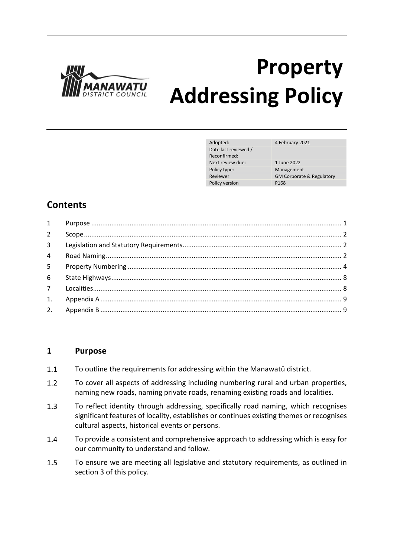

# **Property Addressing Policy**

| Adopted:             | 4 February 2021                      |
|----------------------|--------------------------------------|
| Date last reviewed / |                                      |
| Reconfirmed:         |                                      |
| Next review due:     | 1 June 2022                          |
| Policy type:         | Management                           |
| Reviewer             | <b>GM Corporate &amp; Regulatory</b> |
| Policy version       | P <sub>168</sub>                     |

# **Contents**

| $1 \quad \blacksquare$ |  |
|------------------------|--|
| $2^{\circ}$            |  |
| 3 <sup>1</sup>         |  |
| $\overline{4}$         |  |
| 5                      |  |
| 6                      |  |
|                        |  |
|                        |  |
|                        |  |

## **1 Purpose**

- $1.1$ To outline the requirements for addressing within the Manawatū district.
- $1.2$ To cover all aspects of addressing including numbering rural and urban properties, naming new roads, naming private roads, renaming existing roads and localities.
- $1.3$ To reflect identity through addressing, specifically road naming, which recognises significant features of locality, establishes or continues existing themes or recognises cultural aspects, historical events or persons.
- $1.4$ To provide a consistent and comprehensive approach to addressing which is easy for our community to understand and follow.
- $1.5$ To ensure we are meeting all legislative and statutory requirements, as outlined in section 3 of this policy.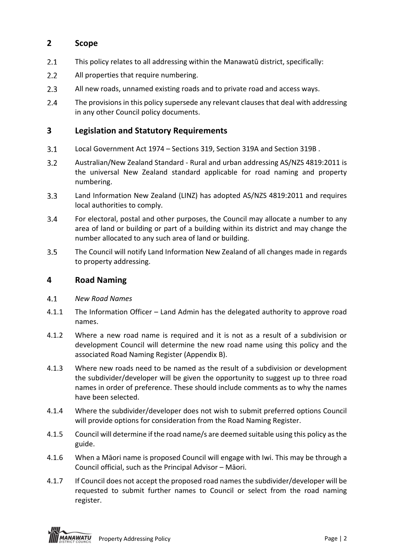# **2 Scope**

- $2.1$ This policy relates to all addressing within the Manawatū district, specifically:
- $2.2$ All properties that require numbering.
- $2.3$ All new roads, unnamed existing roads and to private road and access ways.
- $2.4$ The provisions in this policy supersede any relevant clauses that deal with addressing in any other Council policy documents.

## **3 Legislation and Statutory Requirements**

- $3.1$ Local Government Act 1974 – Sections 319, Section 319A and Section 319B .
- $3.2$ Australian/New Zealand Standard - Rural and urban addressing AS/NZS 4819:2011 is the universal New Zealand standard applicable for road naming and property numbering.
- $3.3$ Land Information New Zealand (LINZ) has adopted AS/NZS 4819:2011 and requires local authorities to comply.
- $3.4$ For electoral, postal and other purposes, the Council may allocate a number to any area of land or building or part of a building within its district and may change the number allocated to any such area of land or building.
- $3.5$ The Council will notify Land Information New Zealand of all changes made in regards to property addressing.

## **4 Road Naming**

- $4.1$ *New Road Names*
- 4.1.1 The Information Officer Land Admin has the delegated authority to approve road names.
- 4.1.2 Where a new road name is required and it is not as a result of a subdivision or development Council will determine the new road name using this policy and the associated Road Naming Register (Appendix B).
- 4.1.3 Where new roads need to be named as the result of a subdivision or development the subdivider/developer will be given the opportunity to suggest up to three road names in order of preference. These should include comments as to why the names have been selected.
- 4.1.4 Where the subdivider/developer does not wish to submit preferred options Council will provide options for consideration from the Road Naming Register.
- 4.1.5 Council will determine if the road name/s are deemed suitable using this policy as the guide.
- 4.1.6 When a Māori name is proposed Council will engage with Iwi. This may be through a Council official, such as the Principal Advisor – Māori.
- 4.1.7 If Council does not accept the proposed road names the subdivider/developer will be requested to submit further names to Council or select from the road naming register.

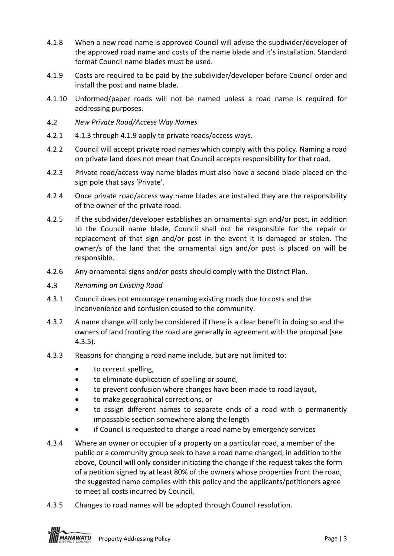- 4.1.8 When a new road name is approved Council will advise the subdivider/developer of the approved road name and costs of the name blade and it's installation. Standard format Council name blades must be used.
- 4.1.9 Costs are required to be paid by the subdivider/developer before Council order and install the post and name blade.
- 4.1.10 Unformed/paper roads will not be named unless a road name is required for addressing purposes.
- $4.2<sup>°</sup>$ *New Private Road/Access Way Names*
- 4.2.1 4.1.3 through 4.1.9 apply to private roads/access ways.
- 4.2.2 Council will accept private road names which comply with this policy. Naming a road on private land does not mean that Council accepts responsibility for that road.
- 4.2.3 Private road/access way name blades must also have a second blade placed on the sign pole that says 'Private'.
- 4.2.4 Once private road/access way name blades are installed they are the responsibility of the owner of the private road.
- 4.2.5 If the subdivider/developer establishes an ornamental sign and/or post, in addition to the Council name blade, Council shall not be responsible for the repair or replacement of that sign and/or post in the event it is damaged or stolen. The owner/s of the land that the ornamental sign and/or post is placed on will be responsible.
- 4.2.6 Any ornamental signs and/or posts should comply with the District Plan.
- $4.3$ *Renaming an Existing Road*
- 4.3.1 Council does not encourage renaming existing roads due to costs and the inconvenience and confusion caused to the community.
- 4.3.2 A name change will only be considered if there is a clear benefit in doing so and the owners of land fronting the road are generally in agreement with the proposal (see 4.3.5).
- 4.3.3 Reasons for changing a road name include, but are not limited to:
	- to correct spelling,
	- to eliminate duplication of spelling or sound,
	- to prevent confusion where changes have been made to road layout,
	- to make geographical corrections, or
	- to assign different names to separate ends of a road with a permanently impassable section somewhere along the length
	- if Council is requested to change a road name by emergency services
- 4.3.4 Where an owner or occupier of a property on a particular road, a member of the public or a community group seek to have a road name changed, in addition to the above, Council will only consider initiating the change if the request takes the form of a petition signed by at least 80% of the owners whose properties front the road, the suggested name complies with this policy and the applicants/petitioners agree to meet all costs incurred by Council.
- 4.3.5 Changes to road names will be adopted through Council resolution.

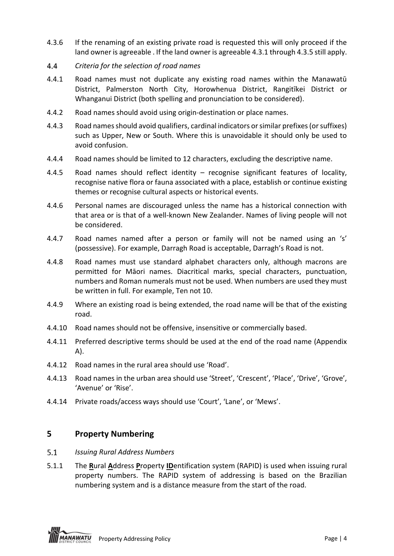- 4.3.6 If the renaming of an existing private road is requested this will only proceed if the land owner is agreeable . If the land owner is agreeable 4.3.1 through 4.3.5 still apply.
- *Criteria for the selection of road names* 4.4
- 4.4.1 Road names must not duplicate any existing road names within the Manawatū District, Palmerston North City, Horowhenua District, Rangitīkei District or Whanganui District (both spelling and pronunciation to be considered).
- 4.4.2 Road names should avoid using origin-destination or place names.
- 4.4.3 Road names should avoid qualifiers, cardinal indicators or similar prefixes (or suffixes) such as Upper, New or South. Where this is unavoidable it should only be used to avoid confusion.
- 4.4.4 Road names should be limited to 12 characters, excluding the descriptive name.
- 4.4.5 Road names should reflect identity recognise significant features of locality, recognise native flora or fauna associated with a place, establish or continue existing themes or recognise cultural aspects or historical events.
- 4.4.6 Personal names are discouraged unless the name has a historical connection with that area or is that of a well-known New Zealander. Names of living people will not be considered.
- 4.4.7 Road names named after a person or family will not be named using an 's' (possessive). For example, Darragh Road is acceptable, Darragh's Road is not.
- 4.4.8 Road names must use standard alphabet characters only, although macrons are permitted for Māori names. Diacritical marks, special characters, punctuation, numbers and Roman numerals must not be used. When numbers are used they must be written in full. For example, Ten not 10.
- 4.4.9 Where an existing road is being extended, the road name will be that of the existing road.
- 4.4.10 Road names should not be offensive, insensitive or commercially based.
- 4.4.11 Preferred descriptive terms should be used at the end of the road name (Appendix A).
- 4.4.12 Road names in the rural area should use 'Road'.
- 4.4.13 Road names in the urban area should use 'Street', 'Crescent', 'Place', 'Drive', 'Grove', 'Avenue' or 'Rise'.
- 4.4.14 Private roads/access ways should use 'Court', 'Lane', or 'Mews'.

#### **5 Property Numbering**

- $5.1$ *Issuing Rural Address Numbers*
- 5.1.1 The **R**ural **A**ddress **P**roperty **ID**entification system (RAPID) is used when issuing rural property numbers. The RAPID system of addressing is based on the Brazilian numbering system and is a distance measure from the start of the road.



**ANAWATU** Property Addressing Policy **Page 14** Page | 4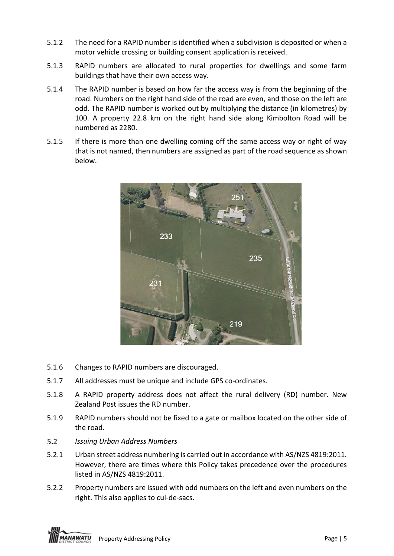- 5.1.2 The need for a RAPID number is identified when a subdivision is deposited or when a motor vehicle crossing or building consent application is received.
- 5.1.3 RAPID numbers are allocated to rural properties for dwellings and some farm buildings that have their own access way.
- 5.1.4 The RAPID number is based on how far the access way is from the beginning of the road. Numbers on the right hand side of the road are even, and those on the left are odd. The RAPID number is worked out by multiplying the distance (in kilometres) by 100. A property 22.8 km on the right hand side along Kimbolton Road will be numbered as 2280.
- 5.1.5 If there is more than one dwelling coming off the same access way or right of way that is not named, then numbers are assigned as part of the road sequence as shown below.



- 5.1.6 Changes to RAPID numbers are discouraged.
- 5.1.7 All addresses must be unique and include GPS co-ordinates.
- 5.1.8 A RAPID property address does not affect the rural delivery (RD) number. New Zealand Post issues the RD number.
- 5.1.9 RAPID numbers should not be fixed to a gate or mailbox located on the other side of the road.
- $5.2$ *Issuing Urban Address Numbers*
- 5.2.1 Urban street address numbering is carried out in accordance with AS/NZS 4819:2011. However, there are times where this Policy takes precedence over the procedures listed in AS/NZS 4819:2011.
- 5.2.2 Property numbers are issued with odd numbers on the left and even numbers on the right. This also applies to cul-de-sacs.

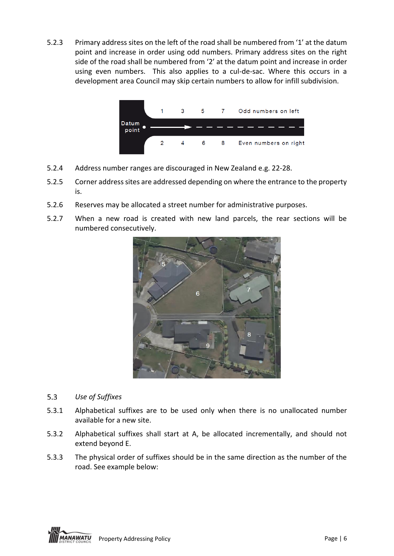5.2.3 Primary address sites on the left of the road shall be numbered from '1' at the datum point and increase in order using odd numbers. Primary address sites on the right side of the road shall be numbered from '2' at the datum point and increase in order using even numbers. This also applies to a cul-de-sac. Where this occurs in a development area Council may skip certain numbers to allow for infill subdivision.



- 5.2.4 Address number ranges are discouraged in New Zealand e.g. 22-28.
- 5.2.5 Corner address sites are addressed depending on where the entrance to the property is.
- 5.2.6 Reserves may be allocated a street number for administrative purposes.
- 5.2.7 When a new road is created with new land parcels, the rear sections will be numbered consecutively.



- $5.3<sub>1</sub>$ *Use of Suffixes*
- 5.3.1 Alphabetical suffixes are to be used only when there is no unallocated number available for a new site.
- 5.3.2 Alphabetical suffixes shall start at A, be allocated incrementally, and should not extend beyond E.
- 5.3.3 The physical order of suffixes should be in the same direction as the number of the road. See example below:

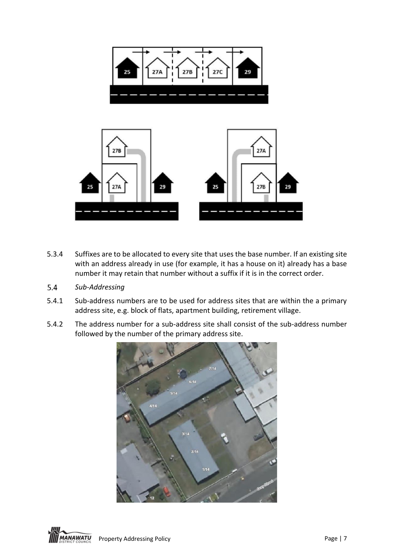

- 5.3.4 Suffixes are to be allocated to every site that uses the base number. If an existing site with an address already in use (for example, it has a house on it) already has a base number it may retain that number without a suffix if it is in the correct order.
- $5.4$ *Sub-Addressing*
- 5.4.1 Sub-address numbers are to be used for address sites that are within the a primary address site, e.g. block of flats, apartment building, retirement village.
- 5.4.2 The address number for a sub-address site shall consist of the sub-address number followed by the number of the primary address site.



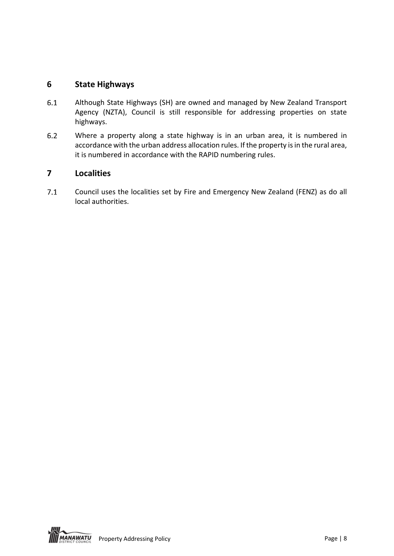# **6 State Highways**

- $6.1$ Although State Highways (SH) are owned and managed by New Zealand Transport Agency (NZTA), Council is still responsible for addressing properties on state highways.
- $6.2$ Where a property along a state highway is in an urban area, it is numbered in accordance with the urban address allocation rules. If the property is in the rural area, it is numbered in accordance with the RAPID numbering rules.

## **7 Localities**

 $7.1$ Council uses the localities set by Fire and Emergency New Zealand (FENZ) as do all local authorities.